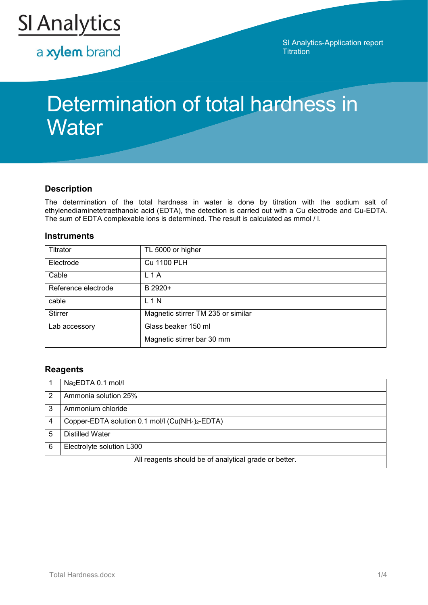

a xylem brand

SI Analytics-Application report **Titration** 

# Determination of total hardness in **Water**

## **Description**

The determination of the total hardness in water is done by titration with the sodium salt of ethylenediaminetetraethanoic acid (EDTA), the detection is carried out with a Cu electrode and Cu-EDTA. The sum of EDTA complexable ions is determined. The result is calculated as mmol / l.

#### **Instruments**

| Titrator                             | TL 5000 or higher                  |
|--------------------------------------|------------------------------------|
| Electrode                            | <b>Cu 1100 PLH</b>                 |
| Cable                                | L <sub>1</sub> A                   |
| Reference electrode                  | B 2920+                            |
| cable                                | L 1 N                              |
| <b>Stirrer</b>                       | Magnetic stirrer TM 235 or similar |
| Glass beaker 150 ml<br>Lab accessory |                                    |
|                                      | Magnetic stirrer bar 30 mm         |

### **Reagents**

|                                                       | Na <sub>2</sub> EDTA 0.1 mol/l                                           |  |
|-------------------------------------------------------|--------------------------------------------------------------------------|--|
| 2                                                     | Ammonia solution 25%                                                     |  |
| 3                                                     | Ammonium chloride                                                        |  |
| 4                                                     | Copper-EDTA solution 0.1 mol/l (Cu(NH <sub>4</sub> ) <sub>2</sub> -EDTA) |  |
| 5                                                     | <b>Distilled Water</b>                                                   |  |
| 6                                                     | Electrolyte solution L300                                                |  |
| All reagents should be of analytical grade or better. |                                                                          |  |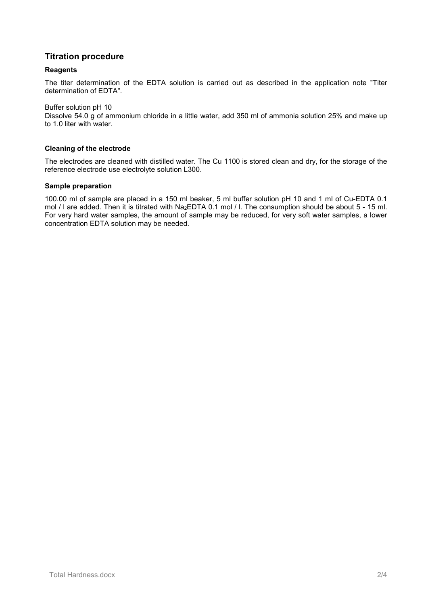# **Titration procedure**

#### **Reagents**

The titer determination of the EDTA solution is carried out as described in the application note "Titer determination of EDTA".

Buffer solution pH 10

Dissolve 54.0 g of ammonium chloride in a little water, add 350 ml of ammonia solution 25% and make up to 1.0 liter with water.

#### **Cleaning of the electrode**

The electrodes are cleaned with distilled water. The Cu 1100 is stored clean and dry, for the storage of the reference electrode use electrolyte solution L300.

#### **Sample preparation**

100.00 ml of sample are placed in a 150 ml beaker, 5 ml buffer solution pH 10 and 1 ml of Cu-EDTA 0.1 mol / l are added. Then it is titrated with Na2EDTA 0.1 mol / l. The consumption should be about 5 - 15 ml. For very hard water samples, the amount of sample may be reduced, for very soft water samples, a lower concentration EDTA solution may be needed.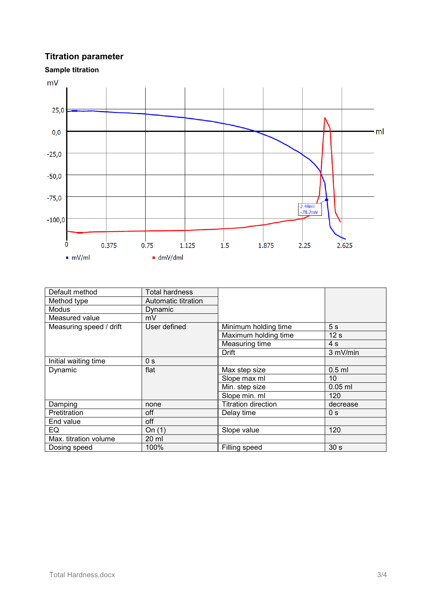# **Titration parameter**





| Default method                          | <b>Total hardness</b> |                            |                 |
|-----------------------------------------|-----------------------|----------------------------|-----------------|
| Method type                             | Automatic titration   |                            |                 |
| Modus                                   | Dynamic               |                            |                 |
| Measured value                          | mV                    |                            |                 |
| User defined<br>Measuring speed / drift |                       | Minimum holding time       | 5 <sub>s</sub>  |
|                                         |                       | Maximum holding time       | 12 <sub>s</sub> |
|                                         |                       | Measuring time             | 4 <sub>s</sub>  |
|                                         |                       | <b>Drift</b>               | 3 mV/min        |
| Initial waiting time<br>0 <sub>s</sub>  |                       |                            |                 |
| Dynamic                                 | flat                  | Max step size              | $0.5$ ml        |
|                                         |                       | Slope max ml               | 10              |
|                                         |                       | Min. step size             | $0.05$ ml       |
|                                         |                       | Slope min. ml              | 120             |
| Damping                                 | none                  | <b>Titration direction</b> | decrease        |
| Pretitration                            | off                   | Delay time                 | 0 <sub>s</sub>  |
| End value                               | off                   |                            |                 |
| EQ                                      | On $(1)$              | Slope value                | 120             |
| Max. titration volume                   | 20 ml                 |                            |                 |
| Dosing speed                            | 100%                  | Filling speed              | 30 <sub>s</sub> |